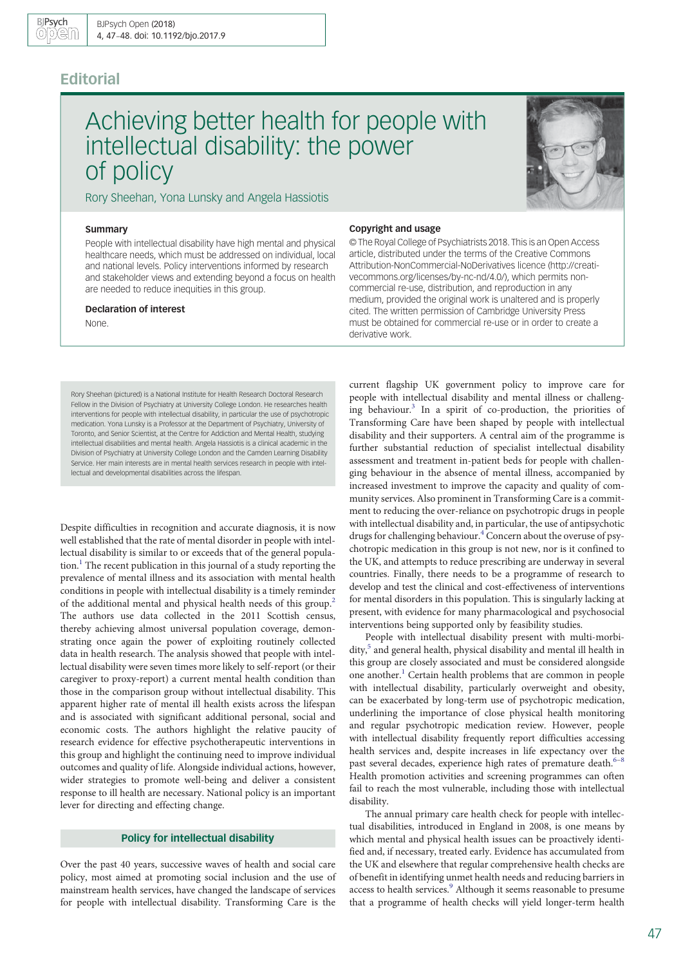# **Editorial**

# Achieving better health for people with intellectual disability: the power of policy

Rory Sheehan, Yona Lunsky and Angela Hassiotis

# **Summary**

People with intellectual disability have high mental and physical healthcare needs, which must be addressed on individual, local and national levels. Policy interventions informed by research and stakeholder views and extending beyond a focus on health are needed to reduce inequities in this group.

# Declaration of interest

None.

Rory Sheehan (pictured) is a National Institute for Health Research Doctoral Research Fellow in the Division of Psychiatry at University College London. He researches health interventions for people with intellectual disability, in particular the use of psychotropic medication. Yona Lunsky is a Professor at the Department of Psychiatry, University of Toronto, and Senior Scientist, at the Centre for Addiction and Mental Health, studying intellectual disabilities and mental health. Angela Hassiotis is a clinical academic in the Division of Psychiatry at University College London and the Camden Learning Disability Service. Her main interests are in mental health services research in people with intellectual and developmental disabilities across the lifespan.

Despite difficulties in recognition and accurate diagnosis, it is now well established that the rate of mental disorder in people with intellectual disability is similar to or exceeds that of the general popula-tion.<sup>[1](#page-1-0)</sup> The recent publication in this journal of a study reporting the prevalence of mental illness and its association with mental health conditions in people with intellectual disability is a timely reminder of the additional mental and physical health needs of this group.<sup>[2](#page-1-0)</sup> The authors use data collected in the 2011 Scottish census, thereby achieving almost universal population coverage, demonstrating once again the power of exploiting routinely collected data in health research. The analysis showed that people with intellectual disability were seven times more likely to self-report (or their caregiver to proxy-report) a current mental health condition than those in the comparison group without intellectual disability. This apparent higher rate of mental ill health exists across the lifespan and is associated with significant additional personal, social and economic costs. The authors highlight the relative paucity of research evidence for effective psychotherapeutic interventions in this group and highlight the continuing need to improve individual outcomes and quality of life. Alongside individual actions, however, wider strategies to promote well-being and deliver a consistent response to ill health are necessary. National policy is an important lever for directing and effecting change.

# Policy for intellectual disability

Over the past 40 years, successive waves of health and social care policy, most aimed at promoting social inclusion and the use of mainstream health services, have changed the landscape of services for people with intellectual disability. Transforming Care is the



#### Copyright and usage

© The Royal College of Psychiatrists 2018. This is an Open Access article, distributed under the terms of the Creative Commons Attribution-NonCommercial-NoDerivatives licence (http://creativecommons.org/licenses/by-nc-nd/4.0/), which permits noncommercial re-use, distribution, and reproduction in any medium, provided the original work is unaltered and is properly cited. The written permission of Cambridge University Press must be obtained for commercial re-use or in order to create a derivative work.

current flagship UK government policy to improve care for people with intellectual disability and mental illness or challenging behaviour.[3](#page-1-0) In a spirit of co-production, the priorities of Transforming Care have been shaped by people with intellectual disability and their supporters. A central aim of the programme is further substantial reduction of specialist intellectual disability assessment and treatment in-patient beds for people with challenging behaviour in the absence of mental illness, accompanied by increased investment to improve the capacity and quality of community services. Also prominent in Transforming Care is a commitment to reducing the over-reliance on psychotropic drugs in people with intellectual disability and, in particular, the use of antipsychotic drugs for challenging behaviour. $4$  Concern about the overuse of psychotropic medication in this group is not new, nor is it confined to the UK, and attempts to reduce prescribing are underway in several countries. Finally, there needs to be a programme of research to develop and test the clinical and cost-effectiveness of interventions for mental disorders in this population. This is singularly lacking at present, with evidence for many pharmacological and psychosocial interventions being supported only by feasibility studies.

People with intellectual disability present with multi-morbidity[,5](#page-1-0) and general health, physical disability and mental ill health in this group are closely associated and must be considered alongside one another.<sup>[1](#page-1-0)</sup> Certain health problems that are common in people with intellectual disability, particularly overweight and obesity, can be exacerbated by long-term use of psychotropic medication, underlining the importance of close physical health monitoring and regular psychotropic medication review. However, people with intellectual disability frequently report difficulties accessing health services and, despite increases in life expectancy over the past several decades, experience high rates of premature death.<sup>[6](#page-1-0)-[8](#page-1-0)</sup> Health promotion activities and screening programmes can often fail to reach the most vulnerable, including those with intellectual disability.

The annual primary care health check for people with intellectual disabilities, introduced in England in 2008, is one means by which mental and physical health issues can be proactively identified and, if necessary, treated early. Evidence has accumulated from the UK and elsewhere that regular comprehensive health checks are of benefit in identifying unmet health needs and reducing barriers in access to health services.<sup>[9](#page-1-0)</sup> Although it seems reasonable to presume that a programme of health checks will yield longer-term health